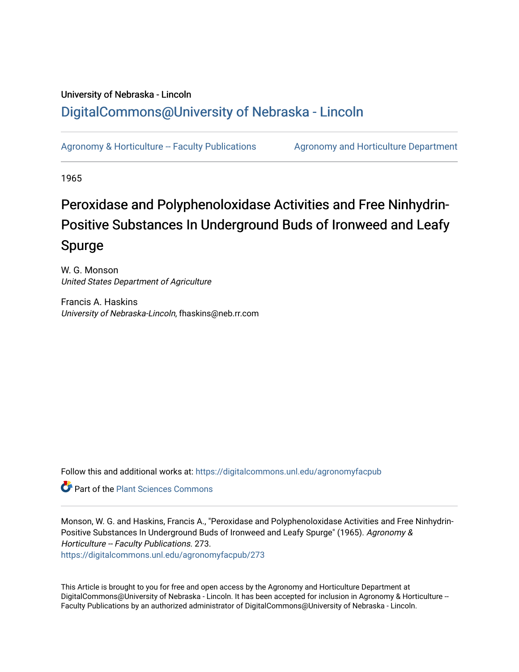## University of Nebraska - Lincoln [DigitalCommons@University of Nebraska - Lincoln](https://digitalcommons.unl.edu/)

[Agronomy & Horticulture -- Faculty Publications](https://digitalcommons.unl.edu/agronomyfacpub) Agronomy and Horticulture Department

1965

# Peroxidase and Polyphenoloxidase Activities and Free Ninhydrin-Positive Substances In Underground Buds of Ironweed and Leafy Spurge

W. G. Monson United States Department of Agriculture

Francis A. Haskins University of Nebraska-Lincoln, fhaskins@neb.rr.com

Follow this and additional works at: [https://digitalcommons.unl.edu/agronomyfacpub](https://digitalcommons.unl.edu/agronomyfacpub?utm_source=digitalcommons.unl.edu%2Fagronomyfacpub%2F273&utm_medium=PDF&utm_campaign=PDFCoverPages)

**Part of the [Plant Sciences Commons](http://network.bepress.com/hgg/discipline/102?utm_source=digitalcommons.unl.edu%2Fagronomyfacpub%2F273&utm_medium=PDF&utm_campaign=PDFCoverPages)** 

Monson, W. G. and Haskins, Francis A., "Peroxidase and Polyphenoloxidase Activities and Free Ninhydrin-Positive Substances In Underground Buds of Ironweed and Leafy Spurge" (1965). Agronomy & Horticulture -- Faculty Publications. 273. [https://digitalcommons.unl.edu/agronomyfacpub/273](https://digitalcommons.unl.edu/agronomyfacpub/273?utm_source=digitalcommons.unl.edu%2Fagronomyfacpub%2F273&utm_medium=PDF&utm_campaign=PDFCoverPages)

This Article is brought to you for free and open access by the Agronomy and Horticulture Department at DigitalCommons@University of Nebraska - Lincoln. It has been accepted for inclusion in Agronomy & Horticulture -- Faculty Publications by an authorized administrator of DigitalCommons@University of Nebraska - Lincoln.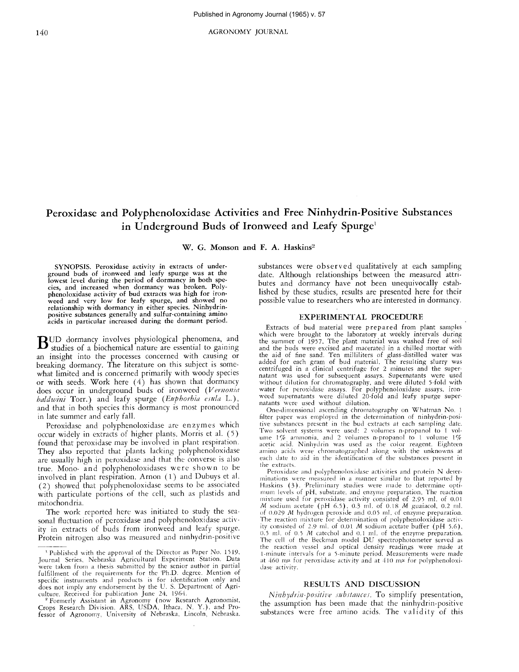140 AGRONOMY JOURNAL

### Peroxidase and Polyphenoloxidase Activities and Free Ninhydrin-Positive Substances in Underground Buds of Ironweed and Leafy Spurge<sup>1</sup>

W. G. Monson and F. A. Haskins<sup>2</sup>

SYNOPSIS. Peroxidase activity in extracts of underground buds of ironweed and leafy spurge was at the lowest level during the period of dormancy in both species, and increased when dormancy was broken. Polyphenoloxidase activity of bud extracts was high for iron-weed and very low for leafy spurge, and showed no relationship with dormancy in either species. Ninhydrinpositive substances generally and sulfur-containing amino acids in particular increased during the dormant period.

 $\mathbf B$ UD dormancy involves physiological phenomena, and<br>studies of a biochemical nature are essential to gaining an insight into the processes concerned with causing or breaking dormancy. The literature on this subject is somewhat limited and is concerned primarily with woody species or with seeds. Work here  $(4)$  has shown that dormancy does occur in underground buds of ironweed *(Vernonia baldwini* Torr.) and leafy spurge *(Euphorbia csula* L.), and that in both species this dormancy is most pronounced in late summer and early fall.

Peroxidase and polyphenoloxidase are enzymes which occur widely in extracts of higher plants. Morris et al. (5) found that peroxidase may be involved in plant respiration. They also reported that plants lacking polyphenoloxidase are usually high in peroxidase and that the converse is also true. Mono- and polyphenoloxidases were shown to be involved in plant respiration. Arnon (1) and Dubuys et al. (2) showed that polyphenoloxidase seems to be associated with particulate portions of the cell, such as plastids and mitochondria.

The work reported here was initiated to study the seasonal fluctuation of peroxidase and polyphenoloxidase activity in extracts of buds from ironweed and leafy spurge. Protein nitrogen also was measured and ninhydrin-positive substances were observed qualitatively at each sampling date. Although relationships between the measured attributes and dormancy have not been unequivocally established by these studies, results are presented here for their possible value to researchers who are interested in dormancy.

#### EXPERIMENTAL PROCEDURE

Extracts of bud material were prepared from plant samples which were brought to the laboratory at weekly intervals during the summer of 1957. The plant material was washed free of soil and the buds were excised and macerated in a chilled mortar with the aid of fine sand. Ten milliliters of glass-distilled water was added for each gram of bud material. The resulting slurry was centrifuged in a clinical centrifuge for 2 minutes and the super-<br>natant was used for subsequent assays. Supernatants were used without dilution for chromatography, and were diluted 5-fold with water for peroxidase assays. For polyphenoloxidase assays. iron-weed supernatants were diluted 20-fold and leafy spurge supernatants were used without dilution.

One-dimensional ascending chromatography on Whatman No. 1 filter paper was employed in the determination of ninhydrin-positive substances present in the bud extracts at each sampling date. Two solvent systems were used: 2 volumes n-propanol to 1 volume  $1\%$  ammonia, and 2 volumes n-propanol to 1 volume  $1\%$ acetic acid. Ninhydrin was used as the color reagent. Eighteen amino acids were chromatographed along with the unknowns at each date to aid in the identification of the substances present in the extracts.

Peroxidase and polyphenoloxidase activities and protein N determinations were measured in a manner similar to that reported by Haskins (3). Preliminary studies were made to determine opti-<br>mum levels of pH, substrate, and enzyme preparation. The reaction mixture used for peroxidase activity consisted of 2.95 ml. of 0.01 M sodium acetate (pH 6.5). 0.3 ml. of 0.18 M guaiacol, 0.2 ml. of 0.029 *M* hydrogen peroxide and 0.05 ml, of enzyme preparation. The reaction mixture for determination of polyphenoloxidase activity consisted of 2.9 rnl. of 0.01 M sodium acetate buffer (pH 5.6). 0.5 ml, of 0.5 M catechol and 0.1 ml. of the enzyme preparation. The cell of the Beckman model DU spectrophotometer served as the reaction vessel and optical density readings were made at 1-minute intervals for a 5-minute period. Measurements were made at 460 m $\mu$  for peroxidase activity and at 410 m $\mu$  for polyphenoloxidase activity.

#### RESULTS AND DISCUSSION

*Ninbydrin-positive substances*. To simplify presentation, the assumption has been made that the ninhydrin-positive substances were free amino acids. The validity of this

<sup>&</sup>lt;sup>1</sup> Published with the approval of the Director as Paper No. 1519.<br>Journal Series, Nebraska Agricultural Experiment Station. Data were taken from a thesis submitted by the senior author in partial fulfillment of the requirements for the 'Ph.D. degree. Mention of specific instruments and products is for identification only and does not imply any endorsement by the U. S. Department of Agriculture. Received for publication June 24. 1964.

<sup>2</sup> Formerly Assistant in Agronomy (now Research Agronomist, Crops Research Division. ARS, USDA, Ithaca. N. Y.). and Professor of Agronomy. University of Nebraska. Lincoln, Nebraska.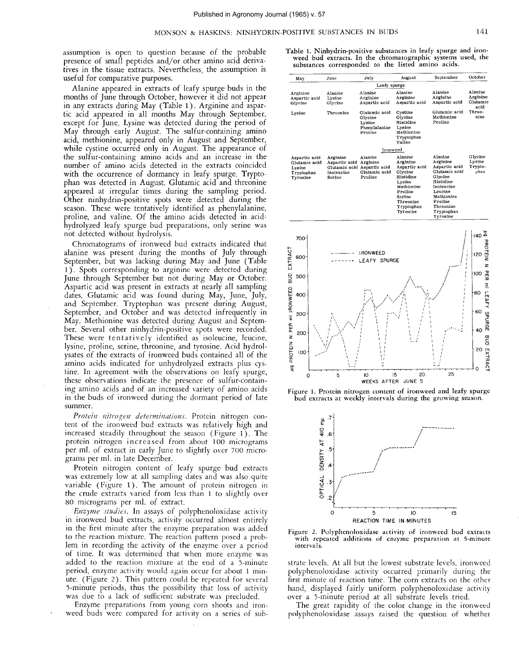assumption is open to question because of the probable presence of small peptides and/or other amino acid derivatives in the tissue extracts. Nevertheless, the assumption is useful for comparative purposes.

Alanine appeared in extracts of leafy spurge buds in the months of June through October, however it did not appear in any extracts during May (Table 1). Arginine and aspartic acid appeared in all months May through September, except for June. Lysine was detected during the period of May through early August. The sulfur-containing amino acid, methionine, appeared only in August and September, while cystine occurred only in August. The appearance of the sulfur-containing amino acids and an increase in the number of amino acids detected in the extracts coincided with the occurrence of dormancy in leafy spurge. Tryptophan was detected in August. Glutamic acid and threonine appeared at irregular times during the sampling period. Other ninhydrin-positive spots were detected during the season. These were tentatively identified as phenylalanine, proline, and valine. Of the amino acids detected in acidhydrolyzed leafy spurge bud preparations, only serine was not detected without hydrolysis.

Chromatograms of ironweed bud extracts indicated that alanine was present during the months of July through September, but was lacking during May and June (Table 1). Spots corresponding to arginine were detected during June through September but not during Mayor October. Aspartic acid was present in extracts at nearly all sampling dates. Glutamic acid was found during May, June, July, and September. Tryptophan was present during August, September, and October and was detected infrequently in May. Methionine was detected during August and September. Several other ninhydrin-positive spots were recorded. These were tentatively identified as isoleucine, leucine, lysine, proline, serine, threonine, and tyrosine. Acid hydrolysates of the extracts of ironweed buds contained all of the amino acids indicated for unhydrolyzed extracts plus cystine. In agreement with the observations on leafy spurge, these observations indicate the presence of sulfur-containing amino acids and of an increased variety of amino acids in the buds of ironweed during the dormant period of late summer.

*Protein nitrogen determinations,* Protein nitrogen content of the ironweed bud extracts was relatively high and increased steadily throughout the season (Figure 1). The protein nitrogen increased from about 100 micrograms per m!. of extract in early June to slightly over 700 micrograms per rnl. in late December.

Protein nitrogen content of leafy spurge bud extracts was extremely low at all sampling dates and was also quite variable (Figure 1). The amount of protein nitrogen in the crude extracts varied from less than 1 to slightly over 80 micrograms per ml. of extract.

*Enzyme stud*res. In assays of polyphenoloxidase activity in ironweed bud extracts, activity occurred almost entirely in the first minute after the enzyme preparation was added to the reaction mixture. The reaction pattern posed a problem in recording the activity of the enzyme over a period of time. It was determined that when more enzyme was added to the reaction mixture at the end of a 5-minute period, enzyme activity would again occur for about 1 minute. (Figure 2). This pattern could be repeated for several 5-minute periods, thus the possibility that loss of activity was due to a lack of sufficient substrate was precluded.

Enzyme preparations from young corn shoots and ironweed buds were compared for activity on a series of sub-

Table 1. Ninhydrin-positive substances in leafy spurge and ironweed bud extracts. In the chromatographic systems used, the substances corresponded to the listed amino acids.

| May                                                                | June                                              | July                                                                           | August                                                                                                                                           | September                                                                                                                                                                     | October                                 |
|--------------------------------------------------------------------|---------------------------------------------------|--------------------------------------------------------------------------------|--------------------------------------------------------------------------------------------------------------------------------------------------|-------------------------------------------------------------------------------------------------------------------------------------------------------------------------------|-----------------------------------------|
|                                                                    |                                                   | Leafy spurge                                                                   |                                                                                                                                                  |                                                                                                                                                                               |                                         |
| Arginine<br>Aspartic acid<br>Glycine                               | Alanine<br>Lysine<br>Glycine                      | Alanine<br>Arginine<br>Aspartic acid                                           | Alanine<br>Arginine<br>Aspartic acid                                                                                                             | Alanine<br>Arginine<br>Aspartic acid                                                                                                                                          | Alanine<br>Arginine<br>Glutamic<br>acid |
| Lysine                                                             | Threonine                                         | Glutamic acid<br>Glycine<br>Lysine<br>Phenvlalanine<br>Proline                 | Cystine<br>Glycine<br>Histidine<br>Lysine<br>Methionine<br>Tryptophan<br>Valine                                                                  | Glutamic acid<br>Methionine<br>Proline                                                                                                                                        | Threo-<br>nine                          |
|                                                                    |                                                   | Ironweed                                                                       |                                                                                                                                                  |                                                                                                                                                                               |                                         |
| Aspartic acid<br>Glutamic acid<br>Lysine<br>Tryptophan<br>Tyrosine | Arginine<br>Aspartic acid<br>Isoleucine<br>Serine | Alanine<br>Arginine<br>Glutamic acid Aspartic acid<br>Glutamic acid<br>Proline | Alanine<br>Arginine<br>Aspartic acid<br>Glycine<br>Histidine<br>Lysine<br>Methionine<br>Proline<br>Serine<br>Threonine<br>Tryptophan<br>Tyrosine | Alanine<br>Arginine<br>Aspartic acid<br>Glutamic acid<br>Glycine<br><b>Histidine</b><br>Isoleucine<br>Leucine<br>Methionine<br>Proline<br>Threonine<br>Tryptophan<br>Tyrosine | Glycine<br>Lysine<br>Trypto-<br>phan    |







Figure 2. Polyphenoloxidase activity of ironweed bud extracts with repeated additions of enzyme preparation at 5-minute intervals.

strate levels. At all but the lowest substrate levels, ironweed polyphenoloxidase activity occurred primarily during the first minute of reaction time. The corn extracts on the other hand, displayed fairly uniform polyphenoloxidase activity over a 5-minute period at alI substrate levels tried.

The great rapidity of the color change in the ironweed polyphenoloxidase assays raised the question of whether